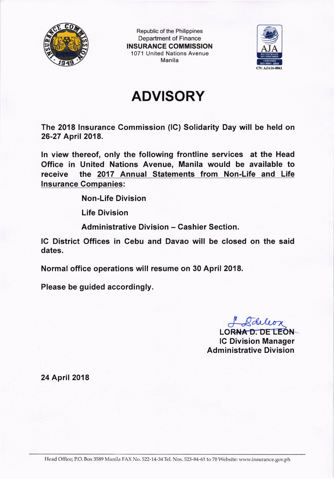

Republic of the Philippines Department of Finance INSURANCE COMMISSION 1071 United Nations Avenue Manila



## ADVISORY

The 2018 lnsurance Commission (lC) Solidarity Day will be held on 26-27 April 2018.

In view thereof, only the following frontline services at the Head Office in United Nations Avenue, Manila would be available to receive the 2017 Annual Statements from Non-Life and Life lnsurance Companies:

Non-Life Division

Life Division

Administrative Division - Cashier Section.

lC District Offices in Cebu and Davao wil! be closed on the said dates.

Normal office operations will resume on 30 April 2018.

Please be guided accordingly.

LORNAD. DE LEON

lC Division Manager **Administrative Division** 

24 April 2018